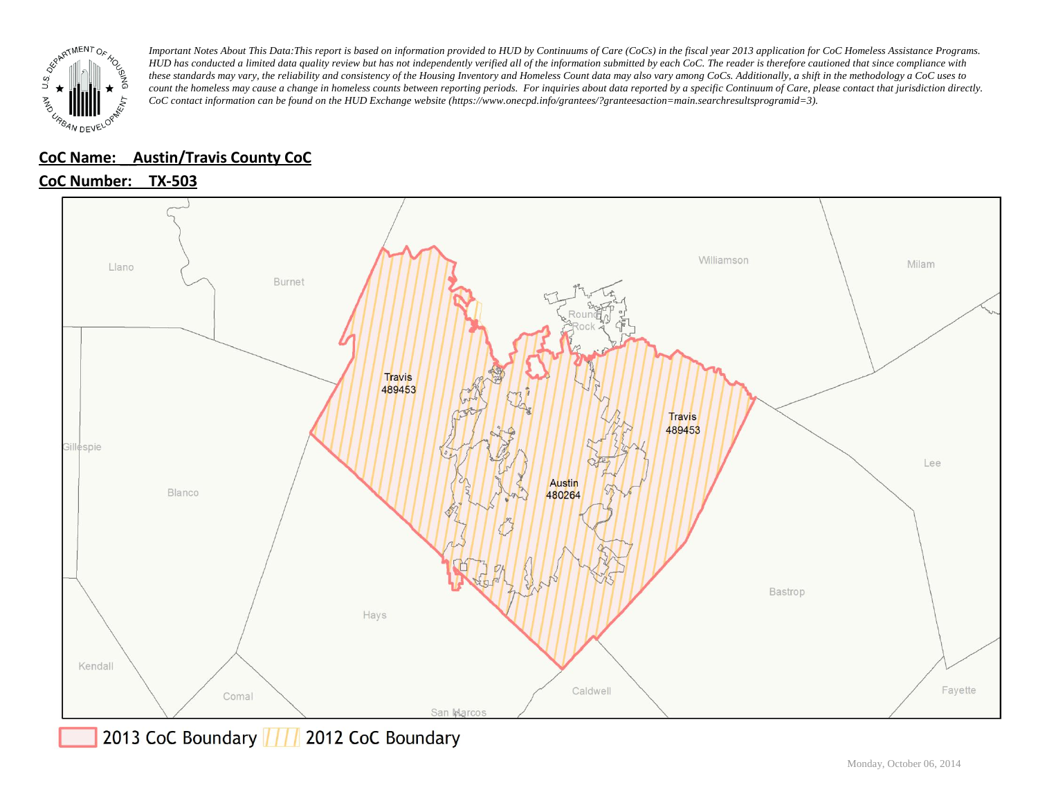

#### **CoC Name: \_\_ Austin/Travis County CoC**

### **CoC Number: TX-503**



2013 CoC Boundary | | | 2012 CoC Boundary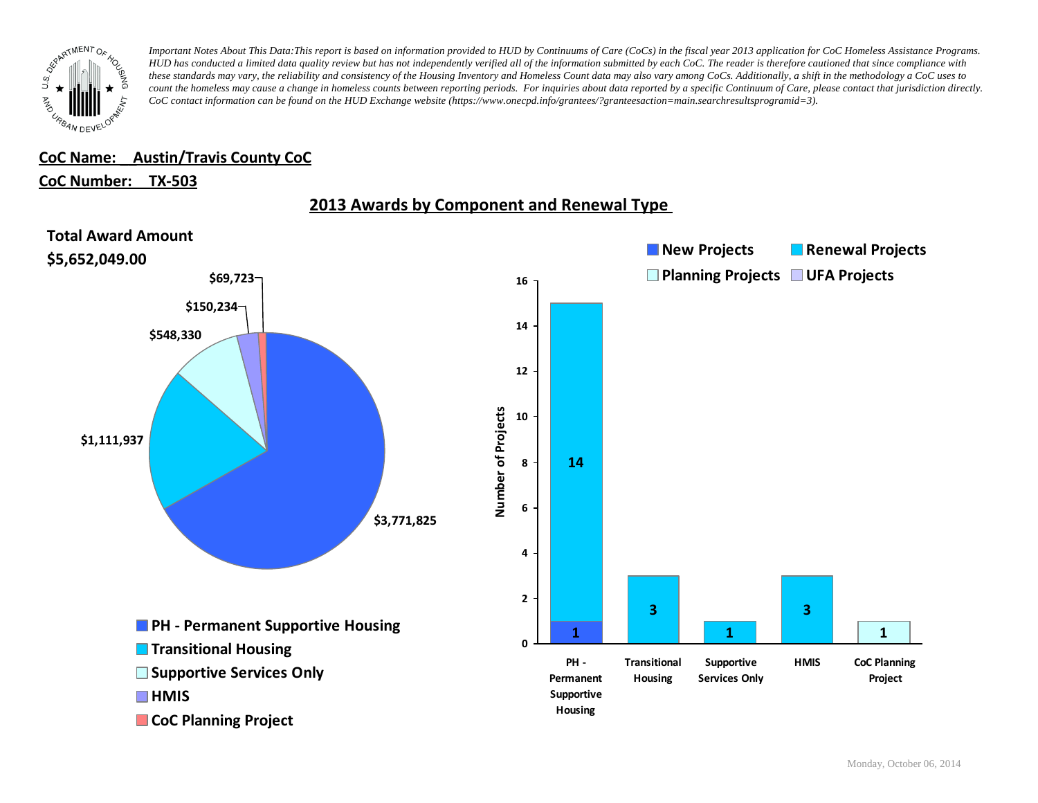

#### **CoC Name: \_\_ Austin/Travis County CoC**

#### **CoC Number: TX-503**



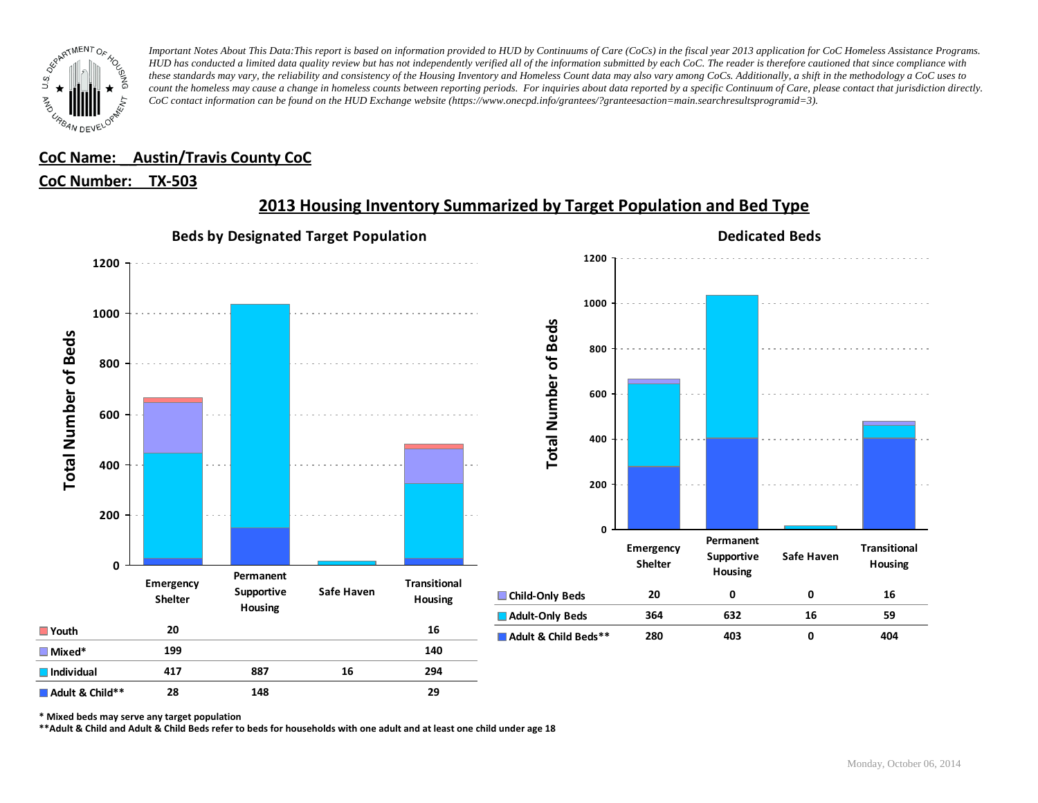

#### **CoC Name: \_\_ Austin/Travis County CoC**

#### **CoC Number: TX-503**



# **2013 Housing Inventory Summarized by Target Population and Bed Type**

**\* Mixed beds may serve any target population**

**\*\*Adult & Child and Adult & Child Beds refer to beds for households with one adult and at least one child under age 18**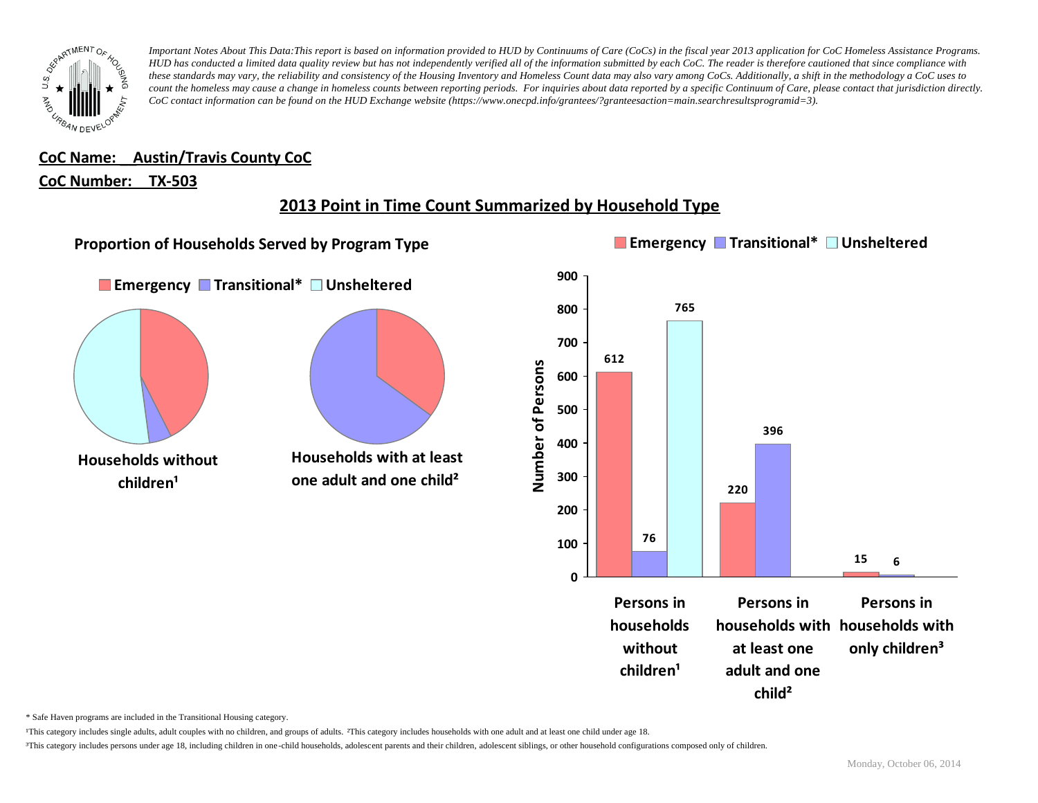

# **CoC Name: \_\_ Austin/Travis County CoC**

#### **CoC Number: TX-503**

# **2013 Point in Time Count Summarized by Household Type**



\* Safe Haven programs are included in the Transitional Housing category.

¹This category includes single adults, adult couples with no children, and groups of adults. ²This category includes households with one adult and at least one child under age 18.

<sup>3</sup>This category includes persons under age 18, including children in one-child households, adolescent parents and their children, adolescent siblings, or other household configurations composed only of children.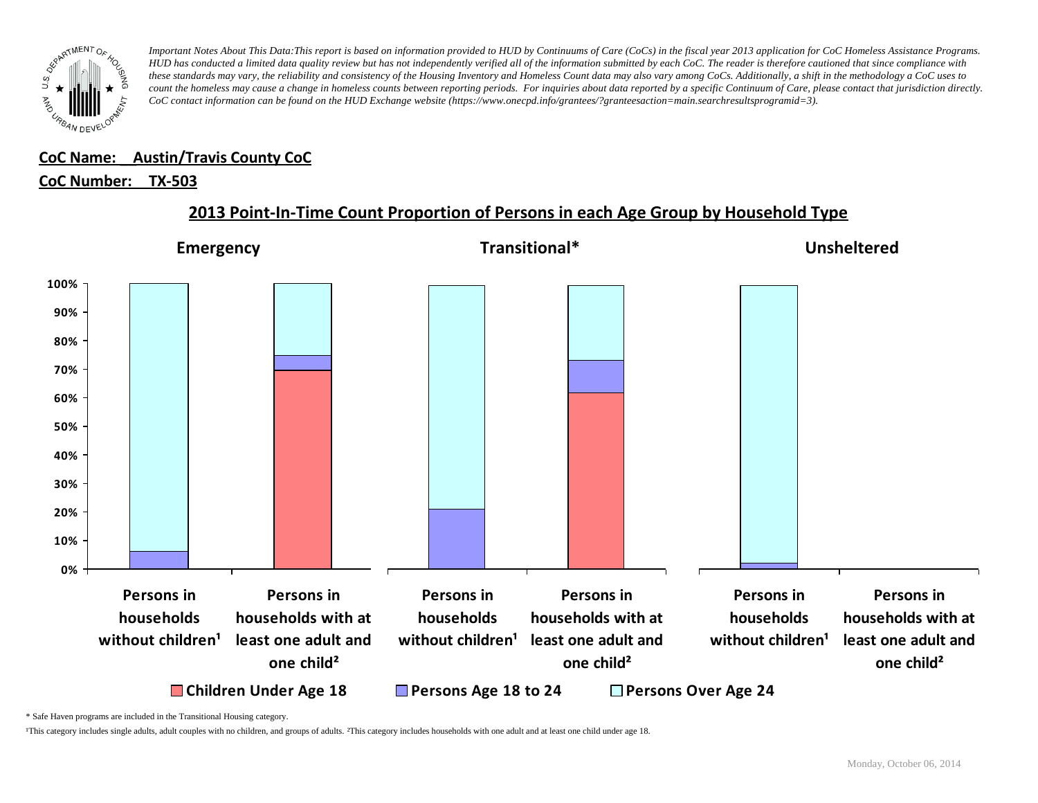

#### **CoC Name: \_\_ Austin/Travis County CoC** ¹This category includes single adults, adult couples with no children, and groups of adults. ²This category includes households with one adult and at least one child under age 18.

# <u>CoC Number: TX-503</u>



**2013 Point-In-Time Count Proportion of Persons in each Age Group by Household Type**

\* Safe Haven programs are included in the Transitional Housing category.

¹This category includes single adults, adult couples with no children, and groups of adults. ²This category includes households with one adult and at least one child under age 18.